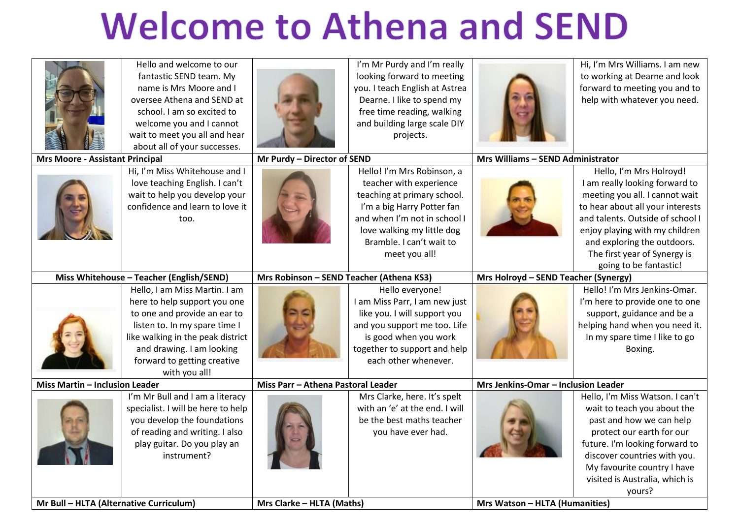## **Welcome to Athena and SEND**

| Mr Bull - HLTA (Alternative Curriculum)  |                                    | Mrs Clarke - HLTA (Maths)                |                                | <b>Mrs Watson - HLTA (Humanities)</b> |                                  |
|------------------------------------------|------------------------------------|------------------------------------------|--------------------------------|---------------------------------------|----------------------------------|
|                                          |                                    |                                          |                                |                                       | yours?                           |
|                                          |                                    |                                          |                                |                                       | visited is Australia, which is   |
|                                          |                                    |                                          |                                |                                       | My favourite country I have      |
|                                          | instrument?                        |                                          |                                |                                       | discover countries with you.     |
|                                          | play guitar. Do you play an        |                                          |                                |                                       | future. I'm looking forward to   |
|                                          | of reading and writing. I also     |                                          | you have ever had.             |                                       | protect our earth for our        |
|                                          | you develop the foundations        |                                          | be the best maths teacher      |                                       | past and how we can help         |
|                                          | specialist. I will be here to help |                                          | with an 'e' at the end. I will |                                       | wait to teach you about the      |
|                                          | I'm Mr Bull and I am a literacy    |                                          | Mrs Clarke, here. It's spelt   |                                       | Hello, I'm Miss Watson. I can't  |
| <b>Miss Martin - Inclusion Leader</b>    |                                    | Miss Parr - Athena Pastoral Leader       |                                | Mrs Jenkins-Omar - Inclusion Leader   |                                  |
|                                          | with you all!                      |                                          |                                |                                       |                                  |
|                                          | forward to getting creative        |                                          | each other whenever.           |                                       |                                  |
|                                          | and drawing. I am looking          |                                          | together to support and help   |                                       | Boxing.                          |
|                                          | like walking in the peak district  |                                          | is good when you work          |                                       | In my spare time I like to go    |
|                                          | listen to. In my spare time I      |                                          | and you support me too. Life   |                                       | helping hand when you need it.   |
|                                          | to one and provide an ear to       |                                          | like you. I will support you   |                                       | support, guidance and be a       |
|                                          | here to help support you one       |                                          | I am Miss Parr, I am new just  |                                       | I'm here to provide one to one   |
|                                          | Hello, I am Miss Martin. I am      |                                          | Hello everyone!                |                                       | Hello! I'm Mrs Jenkins-Omar.     |
| Miss Whitehouse - Teacher (English/SEND) |                                    | Mrs Robinson - SEND Teacher (Athena KS3) |                                | Mrs Holroyd - SEND Teacher (Synergy)  |                                  |
|                                          |                                    |                                          |                                |                                       | going to be fantastic!           |
|                                          |                                    |                                          | meet you all!                  |                                       | The first year of Synergy is     |
|                                          |                                    |                                          | Bramble. I can't wait to       |                                       | and exploring the outdoors.      |
|                                          |                                    |                                          | love walking my little dog     |                                       | enjoy playing with my children   |
|                                          | too.                               |                                          | and when I'm not in school I   |                                       | and talents. Outside of school I |
|                                          | confidence and learn to love it    |                                          | I'm a big Harry Potter fan     |                                       | to hear about all your interests |
|                                          | wait to help you develop your      |                                          | teaching at primary school.    |                                       | meeting you all. I cannot wait   |
|                                          | love teaching English. I can't     |                                          | teacher with experience        |                                       | I am really looking forward to   |
|                                          | Hi, I'm Miss Whitehouse and I      |                                          | Hello! I'm Mrs Robinson, a     |                                       | Hello, I'm Mrs Holroyd!          |
| <b>Mrs Moore - Assistant Principal</b>   |                                    | Mr Purdy - Director of SEND              |                                | Mrs Williams - SEND Administrator     |                                  |
|                                          | about all of your successes.       |                                          |                                |                                       |                                  |
|                                          | wait to meet you all and hear      |                                          | projects.                      |                                       |                                  |
|                                          | welcome you and I cannot           |                                          | and building large scale DIY   |                                       |                                  |
|                                          | school. I am so excited to         |                                          | free time reading, walking     |                                       |                                  |
|                                          | oversee Athena and SEND at         |                                          | Dearne. I like to spend my     |                                       | help with whatever you need.     |
|                                          | name is Mrs Moore and I            |                                          | you. I teach English at Astrea |                                       | forward to meeting you and to    |
|                                          | fantastic SEND team. My            |                                          | looking forward to meeting     |                                       | to working at Dearne and look    |
|                                          | Hello and welcome to our           |                                          | I'm Mr Purdy and I'm really    |                                       | Hi, I'm Mrs Williams. I am new   |
|                                          |                                    |                                          |                                |                                       |                                  |